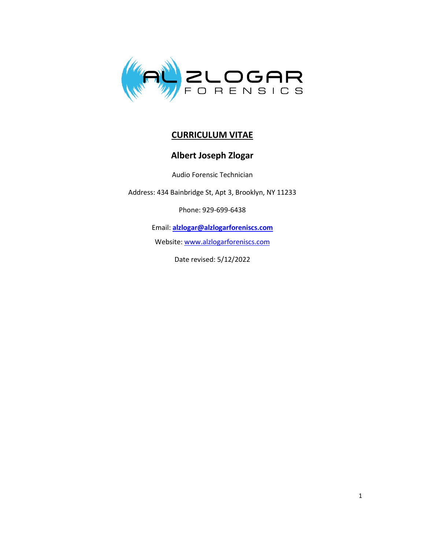

## **CURRICULUM VITAE**

## **Albert Joseph Zlogar**

Audio Forensic Technician

Address: 434 Bainbridge St, Apt 3, Brooklyn, NY 11233

Phone: 929-699-6438

Email: **[alzlogar@alzlogarforeniscs.com](mailto:mailto:alzlogar@alzlogarforensics.com)**

Website[: www.alzlogarforeniscs.com](https://www.alzlogarforensics.com/)

Date revised: 5/12/2022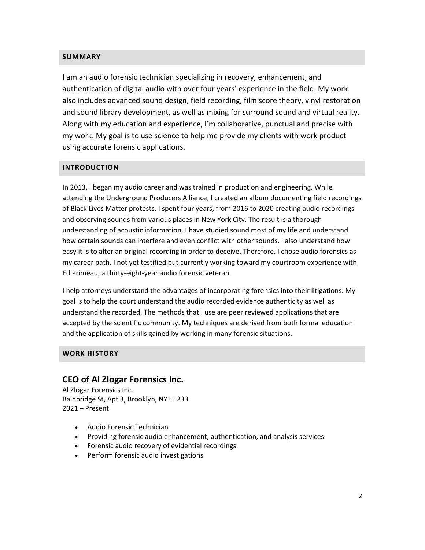#### **SUMMARY**

I am an audio forensic technician specializing in recovery, enhancement, and authentication of digital audio with over four years' experience in the field. My work also includes advanced sound design, field recording, film score theory, vinyl restoration and sound library development, as well as mixing for surround sound and virtual reality. Along with my education and experience, I'm collaborative, punctual and precise with my work. My goal is to use science to help me provide my clients with work product using accurate forensic applications.

#### **INTRODUCTION**

In 2013, I began my audio career and was trained in production and engineering. While attending the Underground Producers Alliance, I created an album documenting field recordings of Black Lives Matter protests. I spent four years, from 2016 to 2020 creating audio recordings and observing sounds from various places in New York City. The result is a thorough understanding of acoustic information. I have studied sound most of my life and understand how certain sounds can interfere and even conflict with other sounds. I also understand how easy it is to alter an original recording in order to deceive. Therefore, I chose audio forensics as my career path. I not yet testified but currently working toward my courtroom experience with Ed Primeau, a thirty-eight-year audio forensic veteran.

I help attorneys understand the advantages of incorporating forensics into their litigations. My goal is to help the court understand the audio recorded evidence authenticity as well as understand the recorded. The methods that I use are peer reviewed applications that are accepted by the scientific community. My techniques are derived from both formal education and the application of skills gained by working in many forensic situations.

#### **WORK HISTORY**

#### **CEO of Al Zlogar Forensics Inc.**

Al Zlogar Forensics Inc. Bainbridge St, Apt 3, Brooklyn, NY 11233 2021 – Present

- Audio Forensic Technician
- Providing forensic audio enhancement, authentication, and analysis services.
- Forensic audio recovery of evidential recordings.
- Perform forensic audio investigations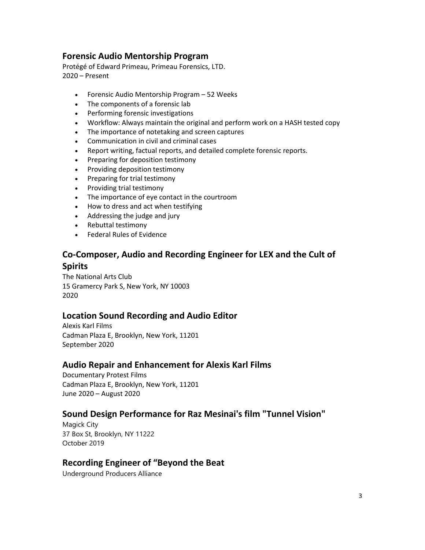### **Forensic Audio Mentorship Program**

Protégé of Edward Primeau, Primeau Forensics, LTD. 2020 – Present

- Forensic Audio Mentorship Program 52 Weeks
- The components of a forensic lab
- Performing forensic investigations
- Workflow: Always maintain the original and perform work on a HASH tested copy
- The importance of notetaking and screen captures
- Communication in civil and criminal cases
- Report writing, factual reports, and detailed complete forensic reports.
- Preparing for deposition testimony
- Providing deposition testimony
- Preparing for trial testimony
- Providing trial testimony
- The importance of eye contact in the courtroom
- How to dress and act when testifying
- Addressing the judge and jury
- Rebuttal testimony
- Federal Rules of Evidence

# **Co-Composer, Audio and Recording Engineer for LEX and the Cult of Spirits**

The National Arts Club 15 Gramercy Park S, New York, NY 10003 2020

### **Location Sound Recording and Audio Editor**

Alexis Karl Films Cadman Plaza E, Brooklyn, New York, 11201 September 2020

#### **Audio Repair and Enhancement for Alexis Karl Films**

Documentary Protest Films Cadman Plaza E, Brooklyn, New York, 11201 June 2020 – August 2020

### **Sound Design Performance for Raz Mesinai's film "Tunnel Vision"**

Magick City 37 Box St, Brooklyn, NY 11222 October 2019

# **Recording Engineer of "Beyond the Beat**

Underground Producers Alliance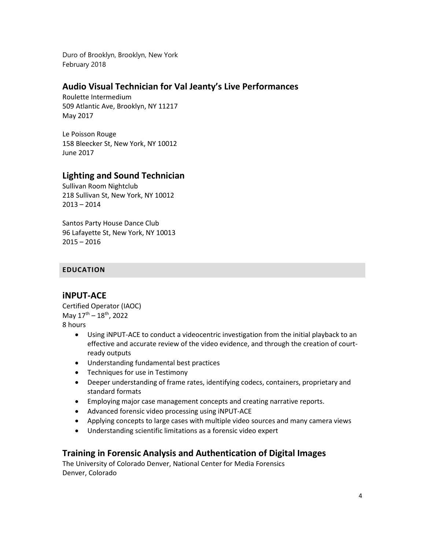Duro of Brooklyn, Brooklyn, New York February 2018

### **Audio Visual Technician for Val Jeanty's Live Performances**

Roulette Intermedium 509 Atlantic Ave, Brooklyn, NY 11217 May 2017

Le Poisson Rouge 158 Bleecker St, New York, NY 10012 June 2017

### **Lighting and Sound Technician**

Sullivan Room Nightclub 218 Sullivan St, New York, NY 10012 2013 – 2014

Santos Party House Dance Club 96 Lafayette St, New York, NY 10013 2015 – 2016

#### **EDUCATION**

#### **iNPUT-ACE**

Certified Operator (IAOC) May 17<sup>th</sup> – 18<sup>th</sup>, 2022 8 hours

- Using iNPUT-ACE to conduct a videocentric investigation from the initial playback to an effective and accurate review of the video evidence, and through the creation of courtready outputs
- Understanding fundamental best practices
- Techniques for use in Testimony
- Deeper understanding of frame rates, identifying codecs, containers, proprietary and standard formats
- Employing major case management concepts and creating narrative reports.
- Advanced forensic video processing using iNPUT-ACE
- Applying concepts to large cases with multiple video sources and many camera views
- Understanding scientific limitations as a forensic video expert

#### **Training in Forensic Analysis and Authentication of Digital Images**

The University of Colorado Denver, National Center for Media Forensics Denver, Colorado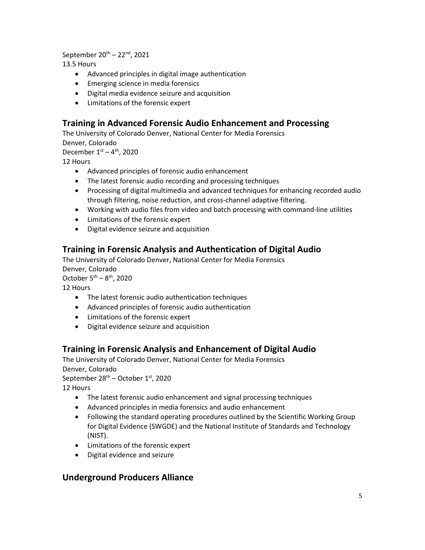September 20<sup>th</sup> – 22<sup>nd</sup>, 2021

13.5 Hours

- Advanced principles in digital image authentication
- Emerging science in media forensics
- Digital media evidence seizure and acquisition
- Limitations of the forensic expert

# **Training in Advanced Forensic Audio Enhancement and Processing**

The University of Colorado Denver, National Center for Media Forensics

Denver, Colorado

December  $1<sup>st</sup> - 4<sup>th</sup>$ , 2020

12 Hours

- Advanced principles of forensic audio enhancement
- The latest forensic audio recording and processing techniques
- Processing of digital multimedia and advanced techniques for enhancing recorded audio through filtering, noise reduction, and cross-channel adaptive filtering.
- Working with audio files from video and batch processing with command-line utilities
- Limitations of the forensic expert
- Digital evidence seizure and acquisition

# **Training in Forensic Analysis and Authentication of Digital Audio**

The University of Colorado Denver, National Center for Media Forensics Denver, Colorado

October  $5<sup>th</sup> - 8<sup>th</sup>$ , 2020

12 Hours

- The latest forensic audio authentication techniques
- Advanced principles of forensic audio authentication
- Limitations of the forensic expert
- Digital evidence seizure and acquisition

# **Training in Forensic Analysis and Enhancement of Digital Audio**

The University of Colorado Denver, National Center for Media Forensics Denver, Colorado September 28<sup>th</sup> – October 1st, 2020 12 Hours

- The latest forensic audio enhancement and signal processing techniques
- Advanced principles in media forensics and audio enhancement
- Following the standard operating procedures outlined by the Scientific Working Group for Digital Evidence (SWGDE) and the National Institute of Standards and Technology (NIST).
- Limitations of the forensic expert
- Digital evidence and seizure

### **Underground Producers Alliance**